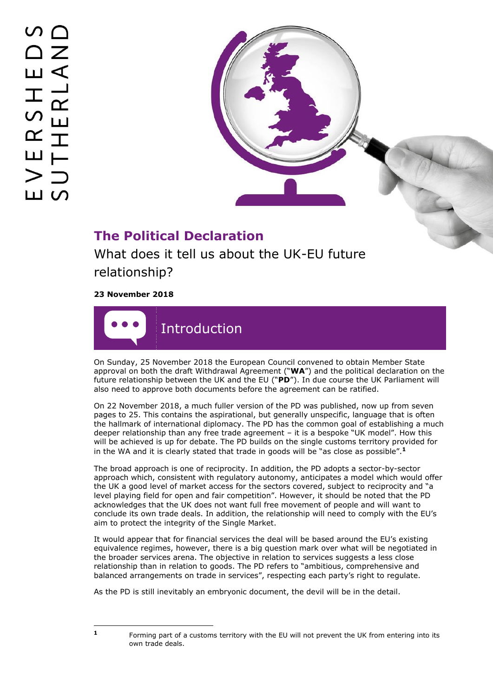

# **The Political Declaration**

What does it tell us about the UK-EU future relationship?

**23 November 2018**



On Sunday, 25 November 2018 the European Council convened to obtain Member State approval on both the draft Withdrawal Agreement ("**WA**") and the political declaration on the future relationship between the UK and the EU ("**PD**"). In due course the UK Parliament will also need to approve both documents before the agreement can be ratified.

On 22 November 2018, a much fuller version of the PD was published, now up from seven pages to 25. This contains the aspirational, but generally unspecific, language that is often the hallmark of international diplomacy. The PD has the common goal of establishing a much deeper relationship than any free trade agreement – it is a bespoke "UK model". How this will be achieved is up for debate. The PD builds on the single customs territory provided for in the WA and it is clearly stated that trade in goods will be "as close as possible".**<sup>1</sup>**

The broad approach is one of reciprocity. In addition, the PD adopts a sector-by-sector approach which, consistent with regulatory autonomy, anticipates a model which would offer the UK a good level of market access for the sectors covered, subject to reciprocity and "a level playing field for open and fair competition". However, it should be noted that the PD acknowledges that the UK does not want full free movement of people and will want to conclude its own trade deals. In addition, the relationship will need to comply with the EU's aim to protect the integrity of the Single Market.

It would appear that for financial services the deal will be based around the EU's existing equivalence regimes, however, there is a big question mark over what will be negotiated in the broader services arena. The objective in relation to services suggests a less close relationship than in relation to goods. The PD refers to "ambitious, comprehensive and balanced arrangements on trade in services", respecting each party's right to regulate.

As the PD is still inevitably an embryonic document, the devil will be in the detail.

ł **1**

Forming part of a customs territory with the EU will not prevent the UK from entering into its own trade deals.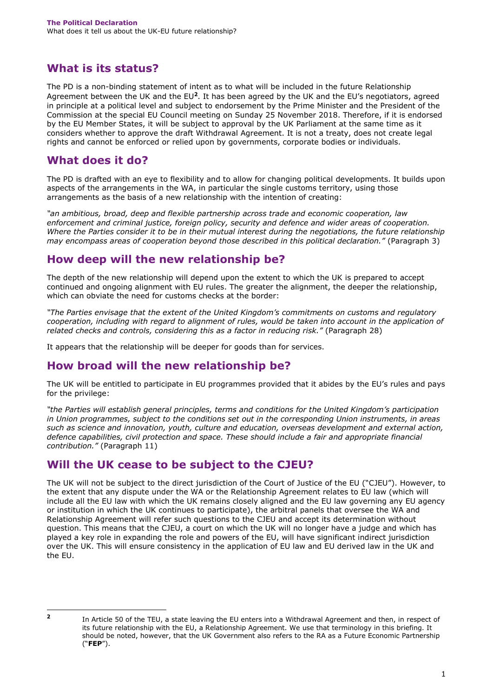## **What is its status?**

The PD is a non-binding statement of intent as to what will be included in the future Relationship Agreement between the UK and the EU<sup>2</sup>. It has been agreed by the UK and the EU's negotiators, agreed in principle at a political level and subject to endorsement by the Prime Minister and the President of the Commission at the special EU Council meeting on Sunday 25 November 2018. Therefore, if it is endorsed by the EU Member States, it will be subject to approval by the UK Parliament at the same time as it considers whether to approve the draft Withdrawal Agreement. It is not a treaty, does not create legal rights and cannot be enforced or relied upon by governments, corporate bodies or individuals.

### **What does it do?**

The PD is drafted with an eye to flexibility and to allow for changing political developments. It builds upon aspects of the arrangements in the WA, in particular the single customs territory, using those arrangements as the basis of a new relationship with the intention of creating:

*"an ambitious, broad, deep and flexible partnership across trade and economic cooperation, law enforcement and criminal justice, foreign policy, security and defence and wider areas of cooperation. Where the Parties consider it to be in their mutual interest during the negotiations, the future relationship may encompass areas of cooperation beyond those described in this political declaration."* (Paragraph 3)

#### **How deep will the new relationship be?**

The depth of the new relationship will depend upon the extent to which the UK is prepared to accept continued and ongoing alignment with EU rules. The greater the alignment, the deeper the relationship, which can obviate the need for customs checks at the border:

*"The Parties envisage that the extent of the United Kingdom's commitments on customs and regulatory cooperation, including with regard to alignment of rules, would be taken into account in the application of related checks and controls, considering this as a factor in reducing risk."* (Paragraph 28)

It appears that the relationship will be deeper for goods than for services.

# **How broad will the new relationship be?**

The UK will be entitled to participate in EU programmes provided that it abides by the EU's rules and pays for the privilege:

*"the Parties will establish general principles, terms and conditions for the United Kingdom's participation in Union programmes, subject to the conditions set out in the corresponding Union instruments, in areas such as science and innovation, youth, culture and education, overseas development and external action, defence capabilities, civil protection and space. These should include a fair and appropriate financial contribution."* (Paragraph 11)

# **Will the UK cease to be subject to the CJEU?**

The UK will not be subject to the direct jurisdiction of the Court of Justice of the EU ("CJEU"). However, to the extent that any dispute under the WA or the Relationship Agreement relates to EU law (which will include all the EU law with which the UK remains closely aligned and the EU law governing any EU agency or institution in which the UK continues to participate), the arbitral panels that oversee the WA and Relationship Agreement will refer such questions to the CJEU and accept its determination without question. This means that the CJEU, a court on which the UK will no longer have a judge and which has played a key role in expanding the role and powers of the EU, will have significant indirect jurisdiction over the UK. This will ensure consistency in the application of EU law and EU derived law in the UK and the EU.

 **2**

In Article 50 of the TEU, a state leaving the EU enters into a Withdrawal Agreement and then, in respect of its future relationship with the EU, a Relationship Agreement. We use that terminology in this briefing. It should be noted, however, that the UK Government also refers to the RA as a Future Economic Partnership ("**FEP**").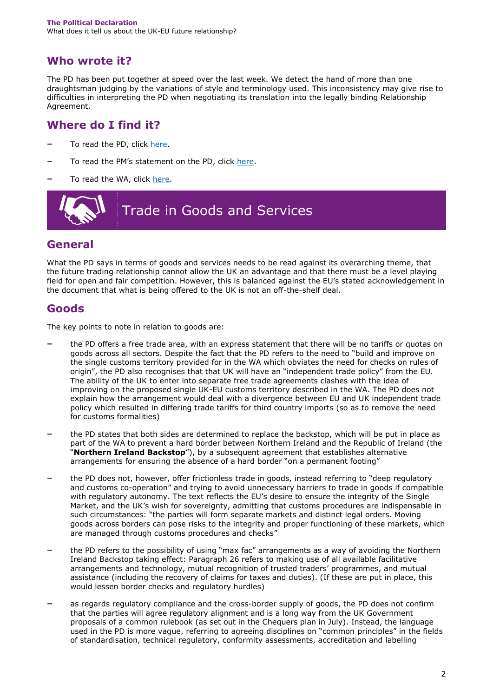# **Who wrote it?**

The PD has been put together at speed over the last week. We detect the hand of more than one draughtsman judging by the variations of style and terminology used. This inconsistency may give rise to difficulties in interpreting the PD when negotiating its translation into the legally binding Relationship Agreement.

## **Where do I find it?**

- **–** To read the PD, click [here.](https://assets.publishing.service.gov.uk/government/uploads/system/uploads/attachment_data/file/758557/22_November_Draft_Political_Declaration_setting_out_the_framework_for_the_future_relationship_between_the_EU_and_the_UK__agreed_at_negotiators__level_and_agreed_in_principle_at_political_level__subject_to_endorsement_by_Leaders.pdf)
- **–** To read the PM's statement on the PD, click [here.](https://www.gov.uk/government/speeches/pm-statement-in-downing-street-22-november-2018?utm_source=e020fe1f-87fe-40ff-8f03-11c0e84dc163&utm_medium=email&utm_campaign=govuk-notifications&utm_content=immediate)
- **–** To read the WA, click [here.](https://assets.publishing.service.gov.uk/government/uploads/system/uploads/attachment_data/file/756374/14_November_Draft_Agreement_on_the_Withdrawal_of_the_United_Kingdom_of_Great_Britain_and_Northern_Ireland_from_the_European_Union.pdf)



#### **General**

What the PD says in terms of goods and services needs to be read against its overarching theme, that the future trading relationship cannot allow the UK an advantage and that there must be a level playing field for open and fair competition. However, this is balanced against the EU's stated acknowledgement in the document that what is being offered to the UK is not an off-the-shelf deal.

#### **Goods**

The key points to note in relation to goods are:

- **–** the PD offers a free trade area, with an express statement that there will be no tariffs or quotas on goods across all sectors. Despite the fact that the PD refers to the need to "build and improve on the single customs territory provided for in the WA which obviates the need for checks on rules of origin", the PD also recognises that that UK will have an "independent trade policy" from the EU. The ability of the UK to enter into separate free trade agreements clashes with the idea of improving on the proposed single UK-EU customs territory described in the WA. The PD does not explain how the arrangement would deal with a divergence between EU and UK independent trade policy which resulted in differing trade tariffs for third country imports (so as to remove the need for customs formalities)
- **–** the PD states that both sides are determined to replace the backstop, which will be put in place as part of the WA to prevent a hard border between Northern Ireland and the Republic of Ireland (the "**Northern Ireland Backstop**"), by a subsequent agreement that establishes alternative arrangements for ensuring the absence of a hard border "on a permanent footing"
- **–** the PD does not, however, offer frictionless trade in goods, instead referring to "deep regulatory and customs co-operation" and trying to avoid unnecessary barriers to trade in goods if compatible with regulatory autonomy. The text reflects the EU's desire to ensure the integrity of the Single Market, and the UK's wish for sovereignty, admitting that customs procedures are indispensable in such circumstances: "the parties will form separate markets and distinct legal orders. Moving goods across borders can pose risks to the integrity and proper functioning of these markets, which are managed through customs procedures and checks"
- **–** the PD refers to the possibility of using "max fac" arrangements as a way of avoiding the Northern Ireland Backstop taking effect: Paragraph 26 refers to making use of all available facilitative arrangements and technology, mutual recognition of trusted traders' programmes, and mutual assistance (including the recovery of claims for taxes and duties). (If these are put in place, this would lessen border checks and regulatory hurdles)
- **–** as regards regulatory compliance and the cross-border supply of goods, the PD does not confirm that the parties will agree regulatory alignment and is a long way from the UK Government proposals of a common rulebook (as set out in the Chequers plan in July). Instead, the language used in the PD is more vague, referring to agreeing disciplines on "common principles" in the fields of standardisation, technical regulatory, conformity assessments, accreditation and labelling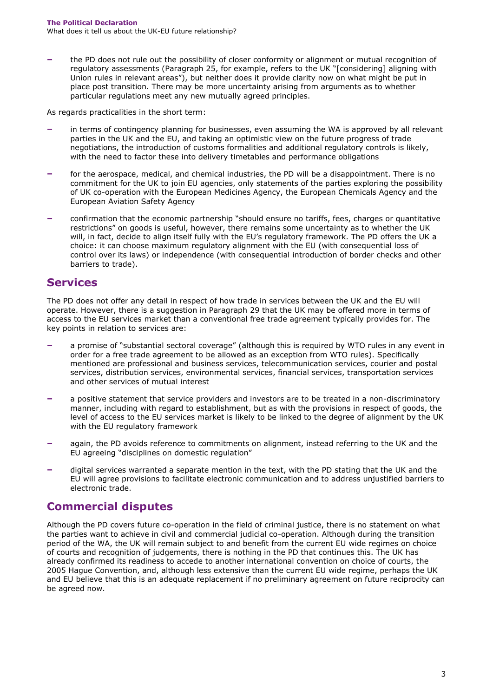**–** the PD does not rule out the possibility of closer conformity or alignment or mutual recognition of regulatory assessments (Paragraph 25, for example, refers to the UK "[considering] aligning with Union rules in relevant areas"), but neither does it provide clarity now on what might be put in place post transition. There may be more uncertainty arising from arguments as to whether particular regulations meet any new mutually agreed principles.

As regards practicalities in the short term:

- **–** in terms of contingency planning for businesses, even assuming the WA is approved by all relevant parties in the UK and the EU, and taking an optimistic view on the future progress of trade negotiations, the introduction of customs formalities and additional regulatory controls is likely, with the need to factor these into delivery timetables and performance obligations
- **–** for the aerospace, medical, and chemical industries, the PD will be a disappointment. There is no commitment for the UK to join EU agencies, only statements of the parties exploring the possibility of UK co-operation with the European Medicines Agency, the European Chemicals Agency and the European Aviation Safety Agency
- **–** confirmation that the economic partnership "should ensure no tariffs, fees, charges or quantitative restrictions" on goods is useful, however, there remains some uncertainty as to whether the UK will, in fact, decide to align itself fully with the EU's regulatory framework. The PD offers the UK a choice: it can choose maximum regulatory alignment with the EU (with consequential loss of control over its laws) or independence (with consequential introduction of border checks and other barriers to trade).

#### **Services**

The PD does not offer any detail in respect of how trade in services between the UK and the EU will operate. However, there is a suggestion in Paragraph 29 that the UK may be offered more in terms of access to the EU services market than a conventional free trade agreement typically provides for. The key points in relation to services are:

- **–** a promise of "substantial sectoral coverage" (although this is required by WTO rules in any event in order for a free trade agreement to be allowed as an exception from WTO rules). Specifically mentioned are professional and business services, telecommunication services, courier and postal services, distribution services, environmental services, financial services, transportation services and other services of mutual interest
- **–** a positive statement that service providers and investors are to be treated in a non-discriminatory manner, including with regard to establishment, but as with the provisions in respect of goods, the level of access to the EU services market is likely to be linked to the degree of alignment by the UK with the EU regulatory framework
- **–** again, the PD avoids reference to commitments on alignment, instead referring to the UK and the EU agreeing "disciplines on domestic regulation"
- **–** digital services warranted a separate mention in the text, with the PD stating that the UK and the EU will agree provisions to facilitate electronic communication and to address unjustified barriers to electronic trade.

#### **Commercial disputes**

Although the PD covers future co-operation in the field of criminal justice, there is no statement on what the parties want to achieve in civil and commercial judicial co-operation. Although during the transition period of the WA, the UK will remain subject to and benefit from the current EU wide regimes on choice of courts and recognition of judgements, there is nothing in the PD that continues this. The UK has already confirmed its readiness to accede to another international convention on choice of courts, the 2005 Hague Convention, and, although less extensive than the current EU wide regime, perhaps the UK and EU believe that this is an adequate replacement if no preliminary agreement on future reciprocity can be agreed now.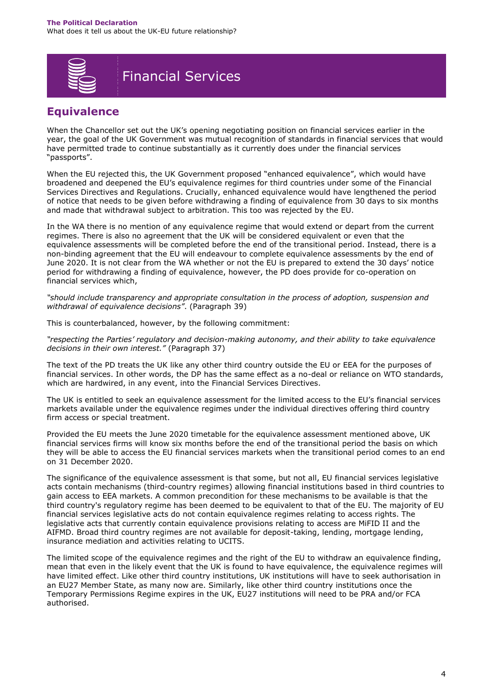

# Financial Services

## **Equivalence**

When the Chancellor set out the UK's opening negotiating position on financial services earlier in the year, the goal of the UK Government was mutual recognition of standards in financial services that would have permitted trade to continue substantially as it currently does under the financial services "passports".

When the EU rejected this, the UK Government proposed "enhanced equivalence", which would have broadened and deepened the EU's equivalence regimes for third countries under some of the Financial Services Directives and Regulations. Crucially, enhanced equivalence would have lengthened the period of notice that needs to be given before withdrawing a finding of equivalence from 30 days to six months and made that withdrawal subject to arbitration. This too was rejected by the EU.

In the WA there is no mention of any equivalence regime that would extend or depart from the current regimes. There is also no agreement that the UK will be considered equivalent or even that the equivalence assessments will be completed before the end of the transitional period. Instead, there is a non-binding agreement that the EU will endeavour to complete equivalence assessments by the end of June 2020. It is not clear from the WA whether or not the EU is prepared to extend the 30 days' notice period for withdrawing a finding of equivalence, however, the PD does provide for co-operation on financial services which,

*"should include transparency and appropriate consultation in the process of adoption, suspension and withdrawal of equivalence decisions"*. (Paragraph 39)

This is counterbalanced, however, by the following commitment:

*"respecting the Parties' regulatory and decision-making autonomy, and their ability to take equivalence decisions in their own interest."* (Paragraph 37)

The text of the PD treats the UK like any other third country outside the EU or EEA for the purposes of financial services. In other words, the DP has the same effect as a no-deal or reliance on WTO standards, which are hardwired, in any event, into the Financial Services Directives.

The UK is entitled to seek an equivalence assessment for the limited access to the EU's financial services markets available under the equivalence regimes under the individual directives offering third country firm access or special treatment.

Provided the EU meets the June 2020 timetable for the equivalence assessment mentioned above, UK financial services firms will know six months before the end of the transitional period the basis on which they will be able to access the EU financial services markets when the transitional period comes to an end on 31 December 2020.

The significance of the equivalence assessment is that some, but not all, EU financial services legislative acts contain mechanisms (third-country regimes) allowing financial institutions based in third countries to gain access to EEA markets. A common precondition for these mechanisms to be available is that the third country's regulatory regime has been deemed to be equivalent to that of the EU. The majority of EU financial services legislative acts do not contain equivalence regimes relating to access rights. The legislative acts that currently contain equivalence provisions relating to access are MiFID II and the AIFMD. Broad third country regimes are not available for deposit-taking, lending, mortgage lending, insurance mediation and activities relating to UCITS.

The limited scope of the equivalence regimes and the right of the EU to withdraw an equivalence finding, mean that even in the likely event that the UK is found to have equivalence, the equivalence regimes will have limited effect. Like other third country institutions, UK institutions will have to seek authorisation in an EU27 Member State, as many now are. Similarly, like other third country institutions once the Temporary Permissions Regime expires in the UK, EU27 institutions will need to be PRA and/or FCA authorised.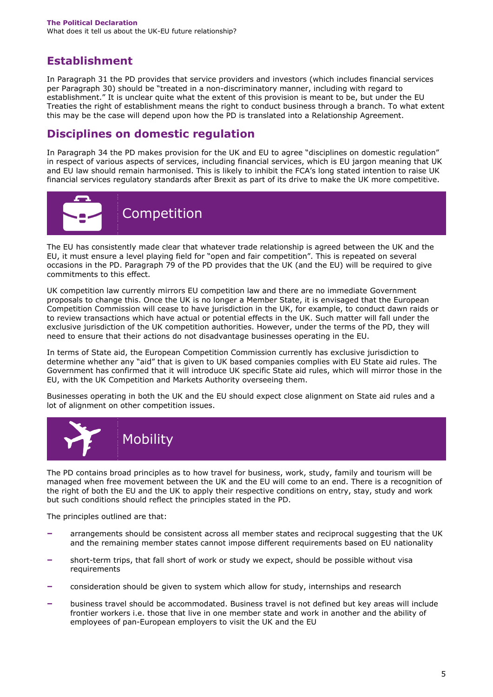# **Establishment**

In Paragraph 31 the PD provides that service providers and investors (which includes financial services per Paragraph 30) should be "treated in a non-discriminatory manner, including with regard to establishment." It is unclear quite what the extent of this provision is meant to be, but under the EU Treaties the right of establishment means the right to conduct business through a branch. To what extent this may be the case will depend upon how the PD is translated into a Relationship Agreement.

# **Disciplines on domestic regulation**

In Paragraph 34 the PD makes provision for the UK and EU to agree "disciplines on domestic regulation" in respect of various aspects of services, including financial services, which is EU jargon meaning that UK and EU law should remain harmonised. This is likely to inhibit the FCA's long stated intention to raise UK financial services regulatory standards after Brexit as part of its drive to make the UK more competitive.



The EU has consistently made clear that whatever trade relationship is agreed between the UK and the EU, it must ensure a level playing field for "open and fair competition". This is repeated on several occasions in the PD. Paragraph 79 of the PD provides that the UK (and the EU) will be required to give commitments to this effect.

UK competition law currently mirrors EU competition law and there are no immediate Government proposals to change this. Once the UK is no longer a Member State, it is envisaged that the European Competition Commission will cease to have jurisdiction in the UK, for example, to conduct dawn raids or to review transactions which have actual or potential effects in the UK. Such matter will fall under the exclusive jurisdiction of the UK competition authorities. However, under the terms of the PD, they will need to ensure that their actions do not disadvantage businesses operating in the EU.

In terms of State aid, the European Competition Commission currently has exclusive jurisdiction to determine whether any "aid" that is given to UK based companies complies with EU State aid rules. The Government has confirmed that it will introduce UK specific State aid rules, which will mirror those in the EU, with the UK Competition and Markets Authority overseeing them.

Businesses operating in both the UK and the EU should expect close alignment on State aid rules and a lot of alignment on other competition issues.



The PD contains broad principles as to how travel for business, work, study, family and tourism will be managed when free movement between the UK and the EU will come to an end. There is a recognition of the right of both the EU and the UK to apply their respective conditions on entry, stay, study and work but such conditions should reflect the principles stated in the PD.

The principles outlined are that:

- **–** arrangements should be consistent across all member states and reciprocal suggesting that the UK and the remaining member states cannot impose different requirements based on EU nationality
- **–** short-term trips, that fall short of work or study we expect, should be possible without visa requirements
- **–** consideration should be given to system which allow for study, internships and research
- **–** business travel should be accommodated. Business travel is not defined but key areas will include frontier workers i.e. those that live in one member state and work in another and the ability of employees of pan-European employers to visit the UK and the EU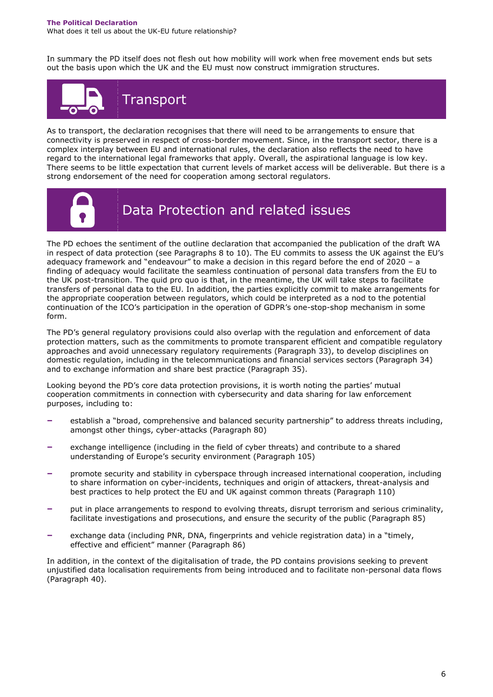#### **The Political Declaration** What does it tell us about the UK-EU future relationship?

In summary the PD itself does not flesh out how mobility will work when free movement ends but sets out the basis upon which the UK and the EU must now construct immigration structures.



As to transport, the declaration recognises that there will need to be arrangements to ensure that connectivity is preserved in respect of cross-border movement. Since, in the transport sector, there is a complex interplay between EU and international rules, the declaration also reflects the need to have regard to the international legal frameworks that apply. Overall, the aspirational language is low key. There seems to be little expectation that current levels of market access will be deliverable. But there is a strong endorsement of the need for cooperation among sectoral regulators.



# Data Protection and related issues

The PD echoes the sentiment of the outline declaration that accompanied the publication of the draft WA in respect of data protection (see Paragraphs 8 to 10). The EU commits to assess the UK against the EU's adequacy framework and "endeavour" to make a decision in this regard before the end of 2020 – a finding of adequacy would facilitate the seamless continuation of personal data transfers from the EU to the UK post-transition. The quid pro quo is that, in the meantime, the UK will take steps to facilitate transfers of personal data to the EU. In addition, the parties explicitly commit to make arrangements for the appropriate cooperation between regulators, which could be interpreted as a nod to the potential continuation of the ICO's participation in the operation of GDPR's one-stop-shop mechanism in some form.

The PD's general regulatory provisions could also overlap with the regulation and enforcement of data protection matters, such as the commitments to promote transparent efficient and compatible regulatory approaches and avoid unnecessary regulatory requirements (Paragraph 33), to develop disciplines on domestic regulation, including in the telecommunications and financial services sectors (Paragraph 34) and to exchange information and share best practice (Paragraph 35).

Looking beyond the PD's core data protection provisions, it is worth noting the parties' mutual cooperation commitments in connection with cybersecurity and data sharing for law enforcement purposes, including to:

- **–** establish a "broad, comprehensive and balanced security partnership" to address threats including, amongst other things, cyber-attacks (Paragraph 80)
- **–** exchange intelligence (including in the field of cyber threats) and contribute to a shared understanding of Europe's security environment (Paragraph 105)
- **–** promote security and stability in cyberspace through increased international cooperation, including to share information on cyber-incidents, techniques and origin of attackers, threat-analysis and best practices to help protect the EU and UK against common threats (Paragraph 110)
- **–** put in place arrangements to respond to evolving threats, disrupt terrorism and serious criminality, facilitate investigations and prosecutions, and ensure the security of the public (Paragraph 85)
- **–** exchange data (including PNR, DNA, fingerprints and vehicle registration data) in a "timely, effective and efficient" manner (Paragraph 86)

In addition, in the context of the digitalisation of trade, the PD contains provisions seeking to prevent unjustified data localisation requirements from being introduced and to facilitate non-personal data flows (Paragraph 40).